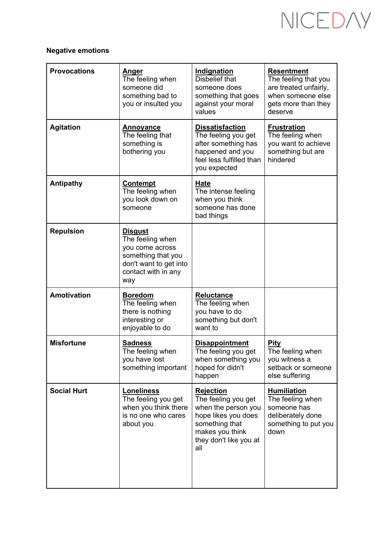# NICEDAY

### **Negative emotions**

| <b>Provocations</b> | <u>Anger</u><br>The feeling when<br>someone did<br>something bad to<br>you or insulted you                                          | Indignation<br><b>Disbelief that</b><br>someone does<br>something that goes<br>against your moral<br>values                                                 | <b>Resentment</b><br>The feeling that you<br>are treated unfairly,<br>when someone else<br>gets more than they<br>deserve |
|---------------------|-------------------------------------------------------------------------------------------------------------------------------------|-------------------------------------------------------------------------------------------------------------------------------------------------------------|---------------------------------------------------------------------------------------------------------------------------|
| <b>Agitation</b>    | <b>Annoyance</b><br>The feeling that<br>something is<br>bothering you                                                               | <b>Dissatisfaction</b><br>The feeling you get<br>after something has<br>happened and you<br>feel less fulfilled than<br>you expected                        | <b>Frustration</b><br>The feeling when<br>you want to achieve<br>something but are<br>hindered                            |
| <b>Antipathy</b>    | <b>Contempt</b><br>The feeling when<br>you look down on<br>someone                                                                  | Hate<br>The intense feeling<br>when you think<br>someone has done<br>bad things                                                                             |                                                                                                                           |
| <b>Repulsion</b>    | <b>Disgust</b><br>The feeling when<br>you come across<br>something that you<br>don't want to get into<br>contact with in any<br>way |                                                                                                                                                             |                                                                                                                           |
| <b>Amotivation</b>  | <b>Boredom</b><br>The feeling when<br>there is nothing<br>interesting or<br>enjoyable to do                                         | <b>Reluctance</b><br>The feeling when<br>you have to do<br>something but don't<br>want to                                                                   |                                                                                                                           |
| <b>Misfortune</b>   | <b>Sadness</b><br>The feeling when<br>you have lost<br>something important                                                          | <b>Disappointment</b><br>The feeling you get<br>when something you<br>hoped for didn't<br>happen                                                            | Pity<br>The feeling when<br>you witness a<br>setback or someone<br>else suffering                                         |
| <b>Social Hurt</b>  | <b>Loneliness</b><br>The feeling you get<br>when you think there<br>is no one who cares<br>about you                                | <b>Rejection</b><br>The feeling you get<br>when the person you<br>hope likes you does<br>something that<br>makes you think<br>they don't like you at<br>all | <b>Humiliation</b><br>The feeling when<br>someone has<br>deliberately done<br>something to put you<br>down                |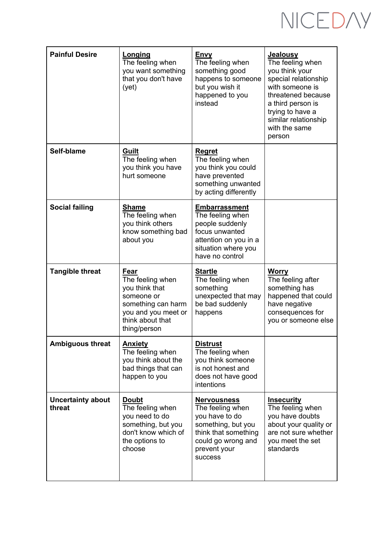# NICEDAY

| <b>Painful Desire</b>   | Longing<br>The feeling when<br>you want something<br>that you don't have<br>(yet)                                                 | <b>Envy</b><br>The feeling when<br>something good<br>happens to someone<br>but you wish it<br>happened to you<br>instead                         | <b>Jealousy</b><br>The feeling when<br>you think your<br>special relationship<br>with someone is<br>threatened because<br>a third person is<br>trying to have a<br>similar relationship<br>with the same<br>person |
|-------------------------|-----------------------------------------------------------------------------------------------------------------------------------|--------------------------------------------------------------------------------------------------------------------------------------------------|--------------------------------------------------------------------------------------------------------------------------------------------------------------------------------------------------------------------|
| Self-blame              | Guilt<br>The feeling when<br>you think you have<br>hurt someone                                                                   | <b>Regret</b><br>The feeling when<br>you think you could<br>have prevented<br>something unwanted<br>by acting differently                        |                                                                                                                                                                                                                    |
| <b>Social failing</b>   | <b>Shame</b><br>The feeling when<br>you think others<br>know something bad<br>about you                                           | <b>Embarrassment</b><br>The feeling when<br>people suddenly<br>focus unwanted<br>attention on you in a<br>situation where you<br>have no control |                                                                                                                                                                                                                    |
| <b>Tangible threat</b>  | Fear                                                                                                                              | <b>Startle</b><br>The feeling when                                                                                                               | <b>Worry</b><br>The feeling after                                                                                                                                                                                  |
|                         | The feeling when<br>you think that<br>someone or<br>something can harm<br>you and you meet or<br>think about that<br>thing/person | something<br>unexpected that may<br>be bad suddenly<br>happens                                                                                   | something has<br>happened that could<br>have negative<br>consequences for<br>you or someone else                                                                                                                   |
| <b>Ambiguous threat</b> | <b>Anxiety</b><br>The feeling when<br>you think about the<br>bad things that can<br>happen to you                                 | <b>Distrust</b><br>The feeling when<br>you think someone<br>is not honest and<br>does not have good<br>intentions                                |                                                                                                                                                                                                                    |